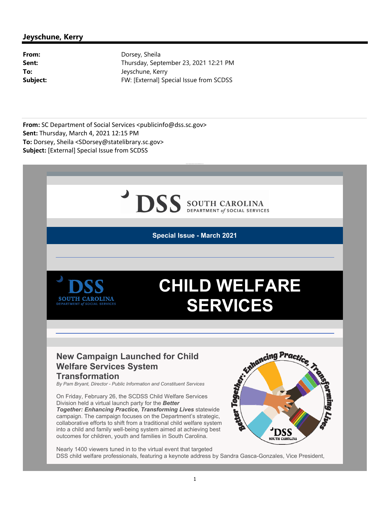## DSS SOUTH CAROLINA

**Special Issue - March 2021**



## **CHILD WELFARE SERVICES**

## **New Campaign Launched for Child Welfare Services System Transformation**

On Friday, February 26, the SCDSS Child Welfare Services Division held a virtual launch party for the *Better Together: Enhancing Practice, Transforming Lives* statewide campaign. The campaign focuses on the Department's strategic, collaborative efforts to shift from a traditional child welfare system into a child and family well-being system aimed at achieving best outcomes for children, youth and families in South Carolina.



Nearly 1400 viewers tuned in to the virtual event that targeted

DSS child welfare professionals, featuring a keynote address by Sandra Gasca-Gonzales, Vice President,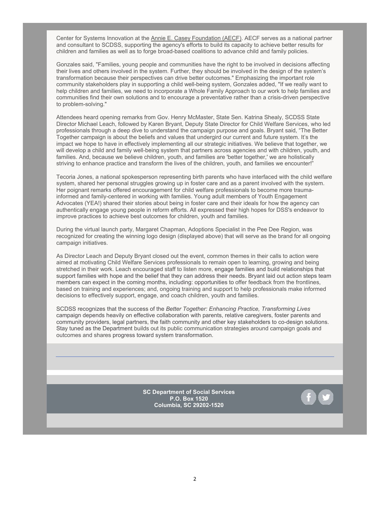Center for Systems Innovation at th[e Annie E. Casey Foundation \(AECF\). A](https://www.aecf.org/)ECF serves as a national partner and consultant to SCDSS, supporting the agency's efforts to build its capacity to achieve better results for children and families as well as to forge broad-based coalitions to advance child and family policies.

Gonzales said, "Families, young people and communities have the right to be involved in decisions affecting their lives and others involved in the system. Further, they should be involved in the design of the system's transformation because their perspectives can drive better outcomes." Emphasizing the important role community stakeholders play in supporting a child well-being system, Gonzales added, "If we really want to help children and families, we need to incorporate a Whole Family Approach to our work to help families and communities find their own solutions and to encourage a preventative rather than a crisis-driven perspective to problem-solving."

Attendees heard opening remarks from Gov. Henry McMaster, State Sen. Katrina Shealy, SCDSS State Director Michael Leach, followed by Karen Bryant, Deputy State Director for Child Welfare Services, who led professionals through a deep dive to understand the campaign purpose and goals. Bryant said, "The Better Together campaign is about the beliefs and values that undergird our current and future system. It's the impact we hope to have in effectively implementing all our strategic initiatives. We believe that together, we will develop a child and family well-being system that partners across agencies and with children, youth, and families. And, because we believe children, youth, and families are 'better together,' we are holistically striving to enhance practice and transform the lives of the children, youth, and families we encounter!"

Tecoria Jones, a national spokesperson representing birth parents who have interfaced with the child welfare system, shared her personal struggles growing up in foster care and as a parent involved with the system. Her poignant remarks offered encouragement for child welfare professionals to become more traumainformed and family-centered in working with families. Young adult members of Youth Engagement Advocates (YEA!) shared their stories about being in foster care and their ideals for how the agency can authentically engage young people in reform efforts. All expressed their high hopes for DSS's endeavor to improve practices to achieve best outcomes for children, youth and families.

During the virtual launch party, Margaret Chapman, Adoptions Specialist in the Pee Dee Region, was recognized for creating the winning logo design (displayed above) that will serve as the brand for all ongoing campaign initiatives.

As Director Leach and Deputy Bryant closed out the event, common themes in their calls to action were aimed at motivating Child Welfare Services professionals to remain open to learning, growing and being stretched in their work. Leach encouraged staff to listen more, engage families and build relationships that support families with hope and the belief that they can address their needs. Bryant laid out action steps team members can expect in the coming months, including: opportunities to offer feedback from the frontlines, based on training and experiences; and, ongoing training and support to help professionals make informed decisions to effectively support, engage, and coach children, youth and families.

SCDSS recognizes that the success of the *Better Together: Enhancing Practice, Transforming Lives*  campaign depends heavily on effective collaboration with parents, relative caregivers, foster parents and community providers, legal partners, the faith community and other key stakeholders to co-design solutions. Stay tuned as the Department builds out its public communication strategies around campaign goals and outcomes and shares progress toward system transformation.

> **SC Department of Social Services P.O. Box 1520 Columbia, SC 29202-1520**